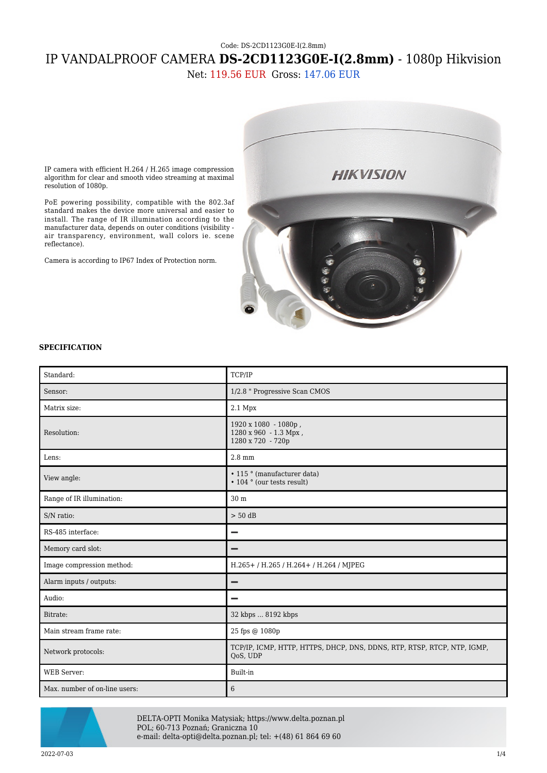## Code: DS-2CD1123G0E-I(2.8mm) IP VANDALPROOF CAMERA **DS-2CD1123G0E-I(2.8mm)** - 1080p Hikvision

Net: 119.56 EUR Gross: 147.06 EUR



PoE powering possibility, compatible with the 802.3af standard makes the device more universal and easier to install. The range of IR illumination according to the manufacturer data, depends on outer conditions (visibility air transparency, environment, wall colors ie. scene reflectance).

Camera is according to IP67 Index of Protection norm.



## **SPECIFICATION**

| Standard:                     | TCP/IP                                                                              |
|-------------------------------|-------------------------------------------------------------------------------------|
| Sensor:                       | 1/2.8 " Progressive Scan CMOS                                                       |
| Matrix size:                  | $2.1$ Mpx                                                                           |
| Resolution:                   | 1920 x 1080 - 1080p,<br>1280 x 960 - 1.3 Mpx,<br>1280 x 720 - 720p                  |
| Lens:                         | $2.8 \text{ mm}$                                                                    |
| View angle:                   | • 115 ° (manufacturer data)<br>• 104 ° (our tests result)                           |
| Range of IR illumination:     | 30 m                                                                                |
| S/N ratio:                    | $> 50$ dB                                                                           |
| RS-485 interface:             | -                                                                                   |
| Memory card slot:             |                                                                                     |
| Image compression method:     | H.265+/H.265/H.264+/H.264/MJPEG                                                     |
| Alarm inputs / outputs:       |                                                                                     |
| Audio:                        | -                                                                                   |
| Bitrate:                      | 32 kbps  8192 kbps                                                                  |
| Main stream frame rate:       | 25 fps @ 1080p                                                                      |
| Network protocols:            | TCP/IP, ICMP, HTTP, HTTPS, DHCP, DNS, DDNS, RTP, RTSP, RTCP, NTP, IGMP,<br>QoS, UDP |
| <b>WEB</b> Server:            | Built-in                                                                            |
| Max. number of on-line users: | 6                                                                                   |



DELTA-OPTI Monika Matysiak; https://www.delta.poznan.pl POL; 60-713 Poznań; Graniczna 10 e-mail: delta-opti@delta.poznan.pl; tel: +(48) 61 864 69 60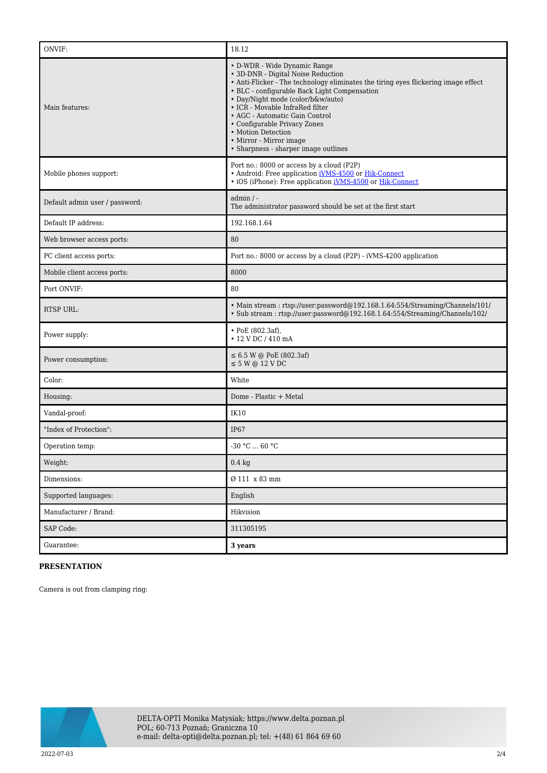| ONVIF:                         | 18.12                                                                                                                                                                                                                                                                                                                                                                                                                                       |
|--------------------------------|---------------------------------------------------------------------------------------------------------------------------------------------------------------------------------------------------------------------------------------------------------------------------------------------------------------------------------------------------------------------------------------------------------------------------------------------|
| Main features:                 | • D-WDR - Wide Dynamic Range<br>• 3D-DNR - Digital Noise Reduction<br>• Anti-Flicker - The technology eliminates the tiring eyes flickering image effect<br>• BLC - configurable Back Light Compensation<br>• Day/Night mode (color/b&w/auto)<br>• ICR - Movable InfraRed filter<br>• AGC - Automatic Gain Control<br>• Configurable Privacy Zones<br>• Motion Detection<br>• Mirror - Mirror image<br>• Sharpness - sharper image outlines |
| Mobile phones support:         | Port no.: 8000 or access by a cloud (P2P)<br>• Android: Free application iVMS-4500 or Hik-Connect<br>• iOS (iPhone): Free application <i>iVMS-4500</i> or <i>Hik-Connect</i>                                                                                                                                                                                                                                                                |
| Default admin user / password: | $admin / -$<br>The administrator password should be set at the first start                                                                                                                                                                                                                                                                                                                                                                  |
| Default IP address:            | 192.168.1.64                                                                                                                                                                                                                                                                                                                                                                                                                                |
| Web browser access ports:      | 80                                                                                                                                                                                                                                                                                                                                                                                                                                          |
| PC client access ports:        | Port no.: 8000 or access by a cloud (P2P) - iVMS-4200 application                                                                                                                                                                                                                                                                                                                                                                           |
| Mobile client access ports:    | 8000                                                                                                                                                                                                                                                                                                                                                                                                                                        |
| Port ONVIF:                    | 80                                                                                                                                                                                                                                                                                                                                                                                                                                          |
| RTSP URL:                      | • Main stream : rtsp://user:password@192.168.1.64:554/Streaming/Channels/101/<br>• Sub stream: rtsp://user.password@192.168.1.64.554/Streaming/Channels/102/                                                                                                                                                                                                                                                                                |
| Power supply:                  | $\cdot$ PoE (802.3af),<br>• 12 V DC / 410 mA                                                                                                                                                                                                                                                                                                                                                                                                |
| Power consumption:             | $\leq 6.5$ W @ PoE (802.3af)<br>$\leq$ 5 W @ 12 V DC                                                                                                                                                                                                                                                                                                                                                                                        |
| Color:                         | White                                                                                                                                                                                                                                                                                                                                                                                                                                       |
| Housing:                       | Dome - Plastic + Metal                                                                                                                                                                                                                                                                                                                                                                                                                      |
| Vandal-proof:                  | <b>IK10</b>                                                                                                                                                                                                                                                                                                                                                                                                                                 |
| "Index of Protection":         | IP67                                                                                                                                                                                                                                                                                                                                                                                                                                        |
| Operation temp:                | -30 °C  60 °C                                                                                                                                                                                                                                                                                                                                                                                                                               |
| Weight:                        | $0.4 \text{ kg}$                                                                                                                                                                                                                                                                                                                                                                                                                            |
| Dimensions:                    | Ø 111 x 83 mm                                                                                                                                                                                                                                                                                                                                                                                                                               |
| Supported languages:           | English                                                                                                                                                                                                                                                                                                                                                                                                                                     |
| Manufacturer / Brand:          | Hikvision                                                                                                                                                                                                                                                                                                                                                                                                                                   |
| SAP Code:                      | 311305195                                                                                                                                                                                                                                                                                                                                                                                                                                   |
| Guarantee:                     | 3 years                                                                                                                                                                                                                                                                                                                                                                                                                                     |

## **PRESENTATION**

Camera is out from clamping ring:

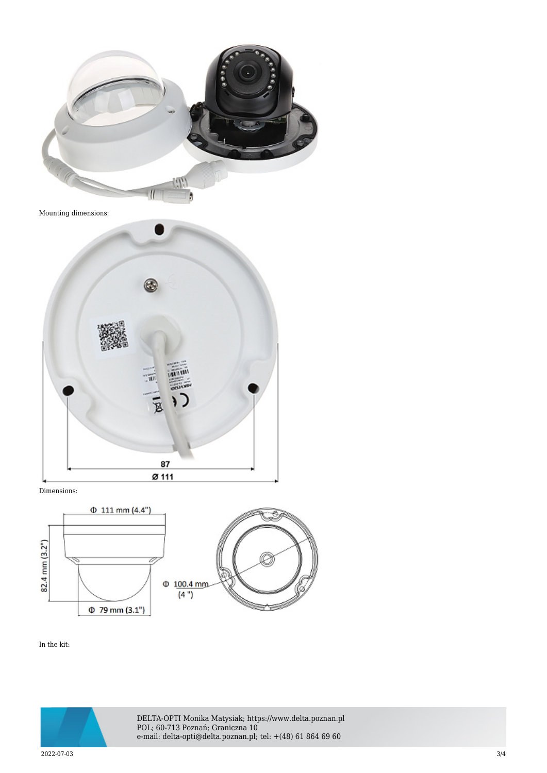

Mounting dimensions:



Dimensions:



In the kit:



DELTA-OPTI Monika Matysiak; https://www.delta.poznan.pl POL; 60-713 Poznań; Graniczna 10 e-mail: delta-opti@delta.poznan.pl; tel: +(48) 61 864 69 60

2022-07-03 3/4